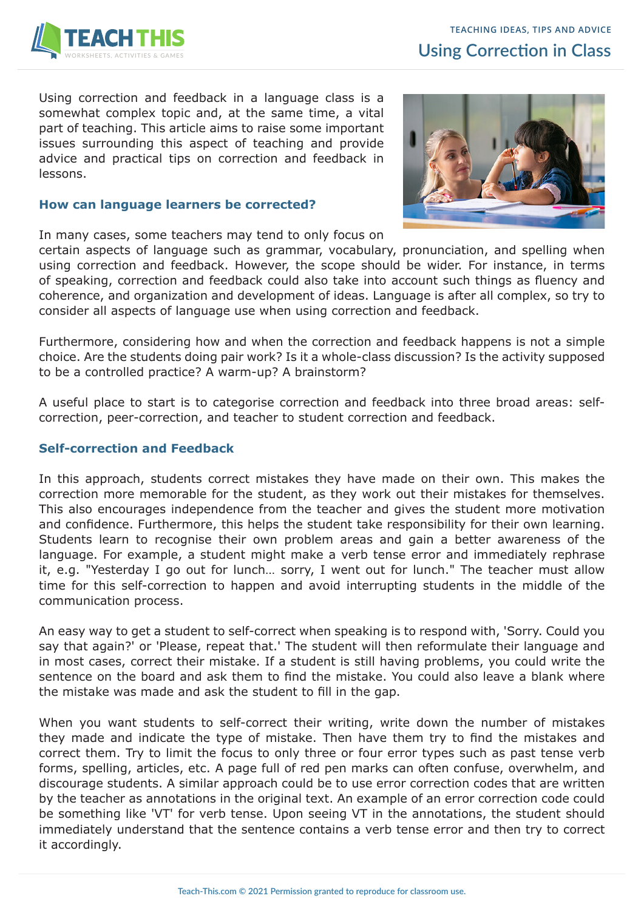

Using correction and feedback in a language class is a somewhat complex topic and, at the same time, a vital part of teaching. This article aims to raise some important issues surrounding this aspect of teaching and provide advice and practical tips on correction and feedback in lessons.

#### **How can language learners be corrected?**

In many cases, some teachers may tend to only focus on

certain aspects of language such as grammar, vocabulary, pronunciation, and spelling when using correction and feedback. However, the scope should be wider. For instance, in terms of speaking, correction and feedback could also take into account such things as fluency and coherence, and organization and development of ideas. Language is after all complex, so try to consider all aspects of language use when using correction and feedback.

Furthermore, considering how and when the correction and feedback happens is not a simple choice. Are the students doing pair work? Is it a whole-class discussion? Is the activity supposed to be a controlled practice? A warm-up? A brainstorm?

A useful place to start is to categorise correction and feedback into three broad areas: selfcorrection, peer-correction, and teacher to student correction and feedback.

### **Self-correction and Feedback**

In this approach, students correct mistakes they have made on their own. This makes the correction more memorable for the student, as they work out their mistakes for themselves. This also encourages independence from the teacher and gives the student more motivation and confidence. Furthermore, this helps the student take responsibility for their own learning. Students learn to recognise their own problem areas and gain a better awareness of the language. For example, a student might make a verb tense error and immediately rephrase it, e.g. "Yesterday I go out for lunch… sorry, I went out for lunch." The teacher must allow time for this self-correction to happen and avoid interrupting students in the middle of the communication process.

An easy way to get a student to self-correct when speaking is to respond with, 'Sorry. Could you say that again?' or 'Please, repeat that.' The student will then reformulate their language and in most cases, correct their mistake. If a student is still having problems, you could write the sentence on the board and ask them to find the mistake. You could also leave a blank where the mistake was made and ask the student to fill in the gap.

When you want students to self-correct their writing, write down the number of mistakes they made and indicate the type of mistake. Then have them try to find the mistakes and correct them. Try to limit the focus to only three or four error types such as past tense verb forms, spelling, articles, etc. A page full of red pen marks can often confuse, overwhelm, and discourage students. A similar approach could be to use error correction codes that are written by the teacher as annotations in the original text. An example of an error correction code could be something like 'VT' for verb tense. Upon seeing VT in the annotations, the student should immediately understand that the sentence contains a verb tense error and then try to correct it accordingly.

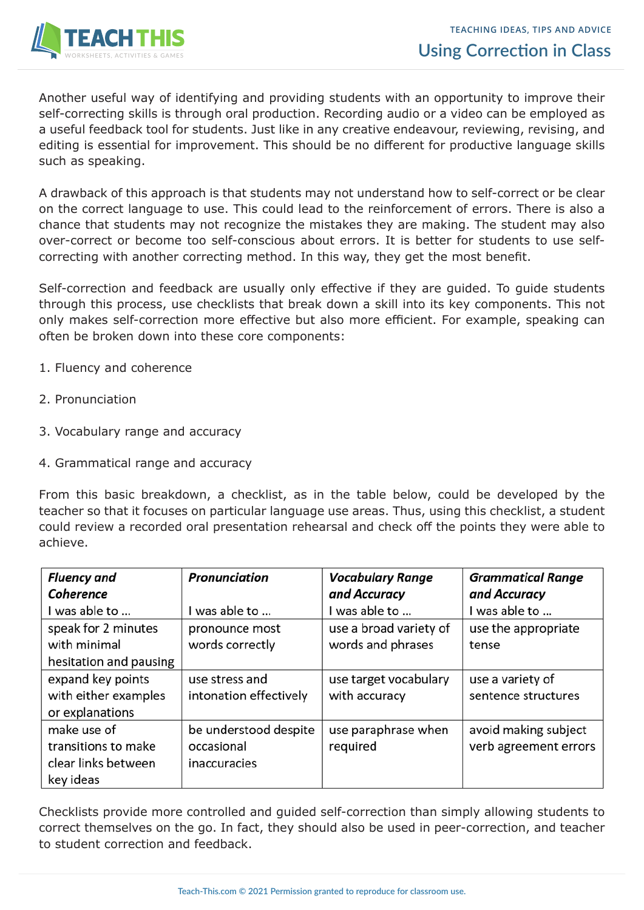

Another useful way of identifying and providing students with an opportunity to improve their self-correcting skills is through oral production. Recording audio or a video can be employed as a useful feedback tool for students. Just like in any creative endeavour, reviewing, revising, and editing is essential for improvement. This should be no different for productive language skills such as speaking.

A drawback of this approach is that students may not understand how to self-correct or be clear on the correct language to use. This could lead to the reinforcement of errors. There is also a chance that students may not recognize the mistakes they are making. The student may also over-correct or become too self-conscious about errors. It is better for students to use selfcorrecting with another correcting method. In this way, they get the most benefit.

Self-correction and feedback are usually only effective if they are guided. To guide students through this process, use checklists that break down a skill into its key components. This not only makes self-correction more effective but also more efficient. For example, speaking can often be broken down into these core components:

- 1. Fluency and coherence
- 2. Pronunciation
- 3. Vocabulary range and accuracy
- 4. Grammatical range and accuracy

From this basic breakdown, a checklist, as in the table below, could be developed by the teacher so that it focuses on particular language use areas. Thus, using this checklist, a student could review a recorded oral presentation rehearsal and check off the points they were able to achieve.

| <b>Fluency and</b>     | <b>Pronunciation</b>   | <b>Vocabulary Range</b> | <b>Grammatical Range</b> |
|------------------------|------------------------|-------------------------|--------------------------|
| Coherence              |                        | and Accuracy            | and Accuracy             |
| I was able to          | I was able to          | I was able to           | I was able to            |
| speak for 2 minutes    | pronounce most         | use a broad variety of  | use the appropriate      |
| with minimal           | words correctly        | words and phrases       | tense                    |
| hesitation and pausing |                        |                         |                          |
| expand key points      | use stress and         | use target vocabulary   | use a variety of         |
| with either examples   | intonation effectively | with accuracy           | sentence structures      |
| or explanations        |                        |                         |                          |
| make use of            | be understood despite  | use paraphrase when     | avoid making subject     |
| transitions to make    | occasional             | required                | verb agreement errors    |
| clear links between    | inaccuracies           |                         |                          |
| key ideas              |                        |                         |                          |

Checklists provide more controlled and guided self-correction than simply allowing students to correct themselves on the go. In fact, they should also be used in peer-correction, and teacher to student correction and feedback.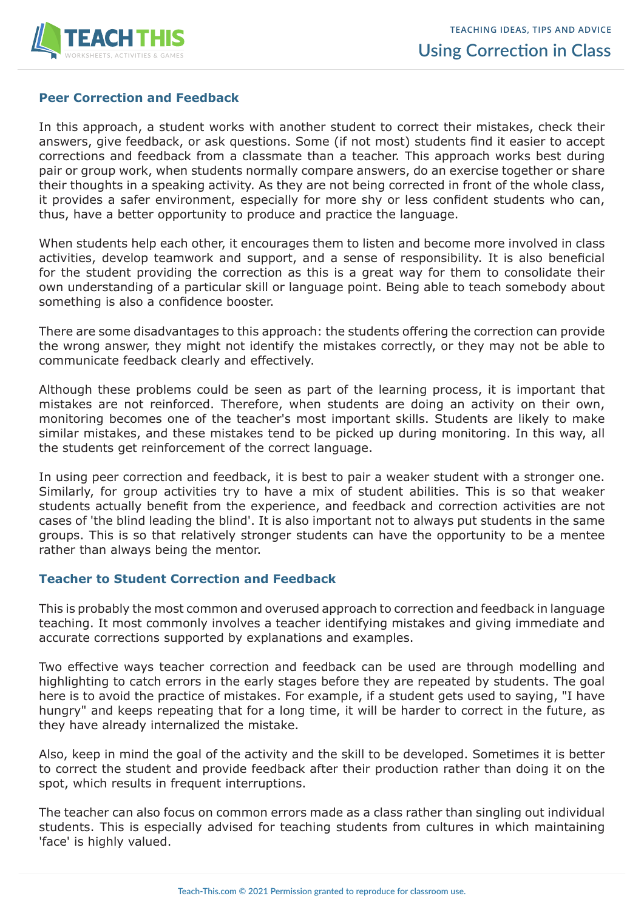

# **Peer Correction and Feedback**

In this approach, a student works with another student to correct their mistakes, check their answers, give feedback, or ask questions. Some (if not most) students find it easier to accept corrections and feedback from a classmate than a teacher. This approach works best during pair or group work, when students normally compare answers, do an exercise together or share their thoughts in a speaking activity. As they are not being corrected in front of the whole class, it provides a safer environment, especially for more shy or less confident students who can, thus, have a better opportunity to produce and practice the language.

When students help each other, it encourages them to listen and become more involved in class activities, develop teamwork and support, and a sense of responsibility. It is also beneficial for the student providing the correction as this is a great way for them to consolidate their own understanding of a particular skill or language point. Being able to teach somebody about something is also a confidence booster.

There are some disadvantages to this approach: the students offering the correction can provide the wrong answer, they might not identify the mistakes correctly, or they may not be able to communicate feedback clearly and effectively.

Although these problems could be seen as part of the learning process, it is important that mistakes are not reinforced. Therefore, when students are doing an activity on their own, monitoring becomes one of the teacher's most important skills. Students are likely to make similar mistakes, and these mistakes tend to be picked up during monitoring. In this way, all the students get reinforcement of the correct language.

In using peer correction and feedback, it is best to pair a weaker student with a stronger one. Similarly, for group activities try to have a mix of student abilities. This is so that weaker students actually benefit from the experience, and feedback and correction activities are not cases of 'the blind leading the blind'. It is also important not to always put students in the same groups. This is so that relatively stronger students can have the opportunity to be a mentee rather than always being the mentor.

### **Teacher to Student Correction and Feedback**

This is probably the most common and overused approach to correction and feedback in language teaching. It most commonly involves a teacher identifying mistakes and giving immediate and accurate corrections supported by explanations and examples.

Two effective ways teacher correction and feedback can be used are through modelling and highlighting to catch errors in the early stages before they are repeated by students. The goal here is to avoid the practice of mistakes. For example, if a student gets used to saying, "I have hungry" and keeps repeating that for a long time, it will be harder to correct in the future, as they have already internalized the mistake.

Also, keep in mind the goal of the activity and the skill to be developed. Sometimes it is better to correct the student and provide feedback after their production rather than doing it on the spot, which results in frequent interruptions.

The teacher can also focus on common errors made as a class rather than singling out individual students. This is especially advised for teaching students from cultures in which maintaining 'face' is highly valued.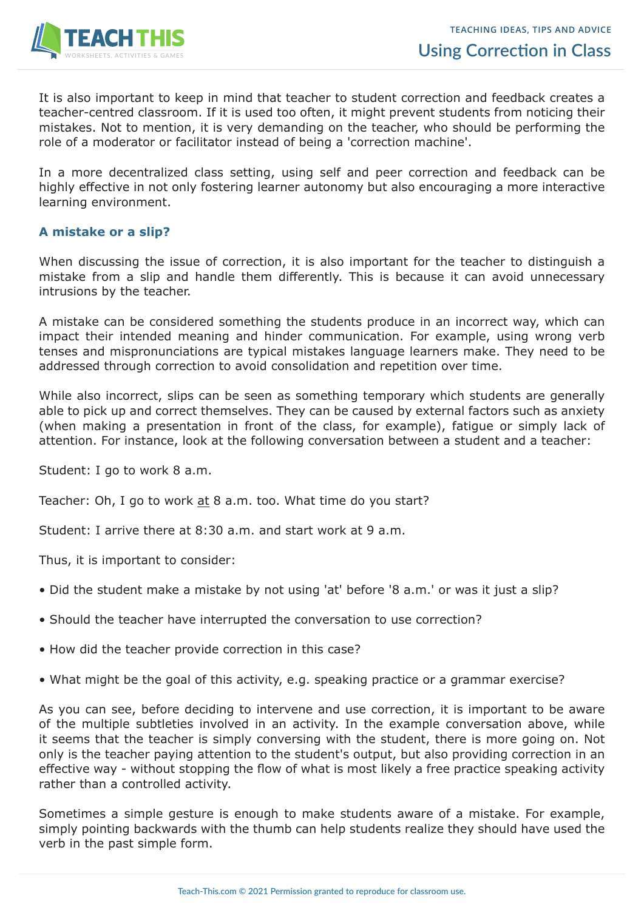

It is also important to keep in mind that teacher to student correction and feedback creates a teacher-centred classroom. If it is used too often, it might prevent students from noticing their mistakes. Not to mention, it is very demanding on the teacher, who should be performing the role of a moderator or facilitator instead of being a 'correction machine'.

In a more decentralized class setting, using self and peer correction and feedback can be highly effective in not only fostering learner autonomy but also encouraging a more interactive learning environment.

# **A mistake or a slip?**

When discussing the issue of correction, it is also important for the teacher to distinguish a mistake from a slip and handle them differently. This is because it can avoid unnecessary intrusions by the teacher.

A mistake can be considered something the students produce in an incorrect way, which can impact their intended meaning and hinder communication. For example, using wrong verb tenses and mispronunciations are typical mistakes language learners make. They need to be addressed through correction to avoid consolidation and repetition over time.

While also incorrect, slips can be seen as something temporary which students are generally able to pick up and correct themselves. They can be caused by external factors such as anxiety (when making a presentation in front of the class, for example), fatigue or simply lack of attention. For instance, look at the following conversation between a student and a teacher:

Student: I go to work 8 a.m.

Teacher: Oh, I go to work at 8 a.m. too. What time do you start?

Student: I arrive there at 8:30 a.m. and start work at 9 a.m.

Thus, it is important to consider:

- Did the student make a mistake by not using 'at' before '8 a.m.' or was it just a slip?
- Should the teacher have interrupted the conversation to use correction?
- How did the teacher provide correction in this case?
- What might be the goal of this activity, e.g. speaking practice or a grammar exercise?

As you can see, before deciding to intervene and use correction, it is important to be aware of the multiple subtleties involved in an activity. In the example conversation above, while it seems that the teacher is simply conversing with the student, there is more going on. Not only is the teacher paying attention to the student's output, but also providing correction in an effective way - without stopping the flow of what is most likely a free practice speaking activity rather than a controlled activity.

Sometimes a simple gesture is enough to make students aware of a mistake. For example, simply pointing backwards with the thumb can help students realize they should have used the verb in the past simple form.